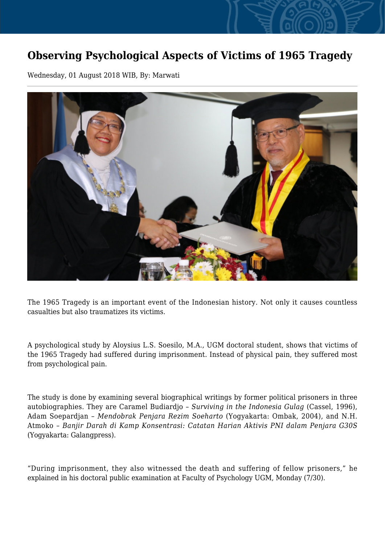## **Observing Psychological Aspects of Victims of 1965 Tragedy**

Wednesday, 01 August 2018 WIB, By: Marwati



The 1965 Tragedy is an important event of the Indonesian history. Not only it causes countless casualties but also traumatizes its victims.

A psychological study by Aloysius L.S. Soesilo, M.A., UGM doctoral student, shows that victims of the 1965 Tragedy had suffered during imprisonment. Instead of physical pain, they suffered most from psychological pain.

The study is done by examining several biographical writings by former political prisoners in three autobiographies. They are Caramel Budiardjo – *Surviving in the Indonesia Gulag* (Cassel, 1996), Adam Soepardjan – *Mendobrak Penjara Rezim Soeharto* (Yogyakarta: Ombak, 2004), and N.H. Atmoko – *Banjir Darah di Kamp Konsentrasi: Catatan Harian Aktivis PNI dalam Penjara G30S* (Yogyakarta: Galangpress).

"During imprisonment, they also witnessed the death and suffering of fellow prisoners," he explained in his doctoral public examination at Faculty of Psychology UGM, Monday (7/30).